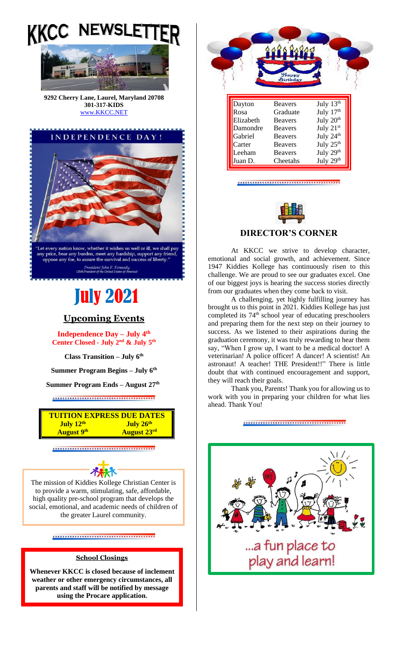



**301-317-KIDS**  [www.KKCC.NET](http://www.kkcc.net/)



# July 2021

## **Upcoming Events**

**Independence Day – July 4th Center Closed - July 2 nd & July 5th**

**Class Transition – July 6th**

**Summer Program Begins – July 6th**

**Summer Program Ends – August 27th**

\*\*\*\*\*\*\*\*\*\*\*\*\*\*\*\*\*\*\*\*\*\*\*\*\*\*\*\*\*\*\*\*\*\*



\*\*\*\*\*\*\*\*\*\*\*\*\*\*\*\*\*\*\*\*\*\*\*\*\*\*\*\*\*\*\*\*\*\*\*



The mission of Kiddies Kollege Christian Center is to provide a warm, stimulating, safe, affordable, high quality pre-school program that develops the social, emotional, and academic needs of children of the greater Laurel community.

\*\*\*\*\*\*\*\*\*\*\*\*\*\*\*\*\*\*\*\*\*\*\*\*\*

### **School Closings**

**Whenever KKCC is closed because of inclement weather or other emergency circumstances, all parents and staff will be notified by message using the Procare application.**



#### 



#### **DIRECTOR'S CORNER**

At KKCC we strive to develop character, emotional and social growth, and achievement. Since 1947 Kiddies Kollege has continuously risen to this challenge. We are proud to see our graduates excel. One of our biggest joys is hearing the success stories directly from our graduates when they come back to visit.

A challenging, yet highly fulfilling journey has brought us to this point in 2021. Kiddies Kollege has just completed its 74<sup>th</sup> school year of educating preschoolers and preparing them for the next step on their journey to success. As we listened to their aspirations during the graduation ceremony, it was truly rewarding to hear them say, "When I grow up, I want to be a medical doctor! A veterinarian! A police officer! A dancer! A scientist! An astronaut! A teacher! THE President!!" There is little doubt that with continued encouragement and support, they will reach their goals.

Thank you, Parents! Thank you for allowing us to work with you in preparing your children for what lies ahead. Thank You!

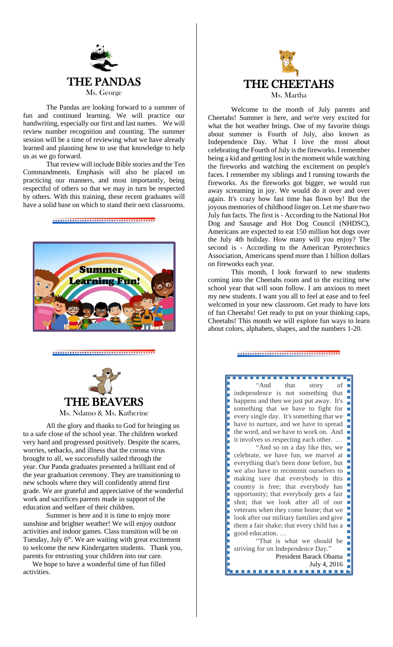

The Pandas are looking forward to a summer of fun and continued learning. We will practice our handwriting, especially our first and last names. We will review number recognition and counting. The summer session will be a time of reviewing what we have already learned and planning how to use that knowledge to help us as we go forward.

That review will include Bible stories and the Ten Commandments. Emphasis will also be placed on practicing our manners, and most importantly, being respectful of others so that we may in turn be respected by others. With this training, these recent graduates will have a solid base on which to stand their next classrooms.





All the glory and thanks to God for bringing us to a safe close of the school year. The children worked very hard and progressed positively. Despite the scares, worries, setbacks, and illness that the corona virus brought to all, we successfully sailed through the year. Our Panda graduates presented a brilliant end of the year graduation ceremony. They are transitioning to new schools where they will confidently attend first grade. We are grateful and appreciative of the wonderful work and sacrifices parents made in support of the education and welfare of their children.

Summer is here and it is time to enjoy more sunshine and brighter weather! We will enjoy outdoor activities and indoor games. Class transition will be on Tuesday, July 6<sup>th</sup>. We are waiting with great excitement to welcome the new Kindergarten students. Thank you, parents for entrusting your children into our care.

We hope to have a wonderful time of fun filled activities.



Welcome to the month of July parents and Cheetahs! Summer is here, and we're very excited for what the hot weather brings. One of my favorite things about summer is Fourth of July, also known as Independence Day. What I love the most about celebrating the Fourth of July is the fireworks. I remember being a kid and getting lost in the moment while watching the fireworks and watching the excitement on people's faces. I remember my siblings and I running towards the fireworks. As the fireworks got bigger, we would run away screaming in joy. We would do it over and over again. It's crazy how fast time has flown by! But the joyous memories of childhood linger on. Let me share two July fun facts. The first is - According to the National Hot Dog and Sausage and Hot Dog Council (NHDSC), Americans are expected to eat 150 million hot dogs over the July 4th holiday. How many will you enjoy? The second is - According to the American Pyrotechnics Association, Americans spend more than 1 billion dollars on fireworks each year.

This month, I look forward to new students coming into the Cheetahs room and to the exciting new school year that will soon follow. I am anxious to meet my new students. I want you all to feel at ease and to feel welcomed in your new classroom. Get ready to have lots of fun Cheetahs! Get ready to put on your thinking caps, Cheetahs! This month we will explore fun ways to learn about colors, alphabets, shapes, and the numbers 1-20.

"And that story of independence is not something that happens and then we just put away. It's something that we have to fight for  $\blacksquare$ every single day. It's something that we have to nurture, and we have to spread the word, and we have to work on. And it involves us respecting each other. … "And so on <sup>a</sup> day like this, we celebrate, we have fun, we marvel at everything that's been done before, but we also have to recommit ourselves to making sure that everybody in this country is free; that everybody has  $\blacksquare$ opportunity; that everybody gets <sup>a</sup> fair shot; that we look after all of our veterans when they come home; that we look after our military families and give them a fair shake; that every child has a good education. … "That is what we should be striving for on Independence Day." П President Barack Obama July 4, 2016. . . . . . . . . . . . . .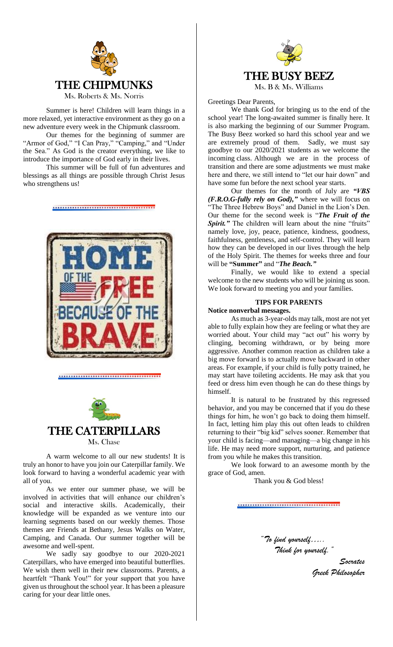

Summer is here! Children will learn things in a more relaxed, yet interactive environment as they go on a new adventure every week in the Chipmunk classroom.

Our themes for the beginning of summer are "Armor of God," "I Can Pray," "Camping," and "Under the Sea." As God is the creator everything, we like to introduce the importance of God early in their lives.

This summer will be full of fun adventures and blessings as all things are possible through Christ Jesus who strengthens us!

\*\*\*\*\*\*\*\*\*\*\*\*\*\*\*\*\*\*\*\*\*\*\*\*\*\*\*\*\*\*\*





A warm welcome to all our new students! It is truly an honor to have you join our Caterpillar family. We look forward to having a wonderful academic year with all of you.

As we enter our summer phase, we will be involved in activities that will enhance our children's social and interactive skills. Academically, their knowledge will be expanded as we venture into our learning segments based on our weekly themes. Those themes are Friends at Bethany, Jesus Walks on Water, Camping, and Canada. Our summer together will be awesome and well-spent.

We sadly say goodbye to our 2020-2021 Caterpillars, who have emerged into beautiful butterflies. We wish them well in their new classrooms. Parents, a heartfelt "Thank You!" for your support that you have given us throughout the school year. It has been a pleasure caring for your dear little ones.



Greetings Dear Parents,

We thank God for bringing us to the end of the school year! The long-awaited summer is finally here. It is also marking the beginning of our Summer Program. The Busy Beez worked so hard this school year and we are extremely proud of them. Sadly, we must say goodbye to our 2020/2021 students as we welcome the incoming class. Although we are in the process of transition and there are some adjustments we must make here and there, we still intend to "let our hair down" and have some fun before the next school year starts.

Our themes for the month of July are *"VBS (F.R.O.G-fully rely on God),"* where we will focus on "The Three Hebrew Boys" and Daniel in the Lion's Den. Our theme for the second week is "*The Fruit of the*  **Spirit.**" The children will learn about the nine "fruits" namely love, joy, peace, patience, kindness, goodness, faithfulness, gentleness, and self-control. They will learn how they can be developed in our lives through the help of the Holy Spirit. The themes for weeks three and four will be **"Summer"** and "*The Beach."*

Finally, we would like to extend a special welcome to the new students who will be joining us soon. We look forward to meeting you and your families.

#### **TIPS FOR PARENTS**

#### **Notice nonverbal messages.**

As much as 3-year-olds may talk, most are not yet able to fully explain how they are feeling or what they are worried about. Your child may "act out" his worry by clinging, becoming withdrawn, or by being more aggressive. Another common reaction as children take a big move forward is to actually move backward in other areas. For example, if your child is fully potty trained, he may start have toileting accidents. He may ask that you feed or dress him even though he can do these things by himself.

It is natural to be frustrated by this regressed behavior, and you may be concerned that if you do these things for him, he won't go back to doing them himself. In fact, letting him play this out often leads to children returning to their "big kid" selves sooner. Remember that your child is facing—and managing—a big change in his life. He may need more support, nurturing, and patience from you while he makes this transition.

We look forward to an awesome month by the grace of God, amen.

Thank you & God bless!

*"To find yourself….. Think for yourself."*

> *Socrates Greek Philosopher*